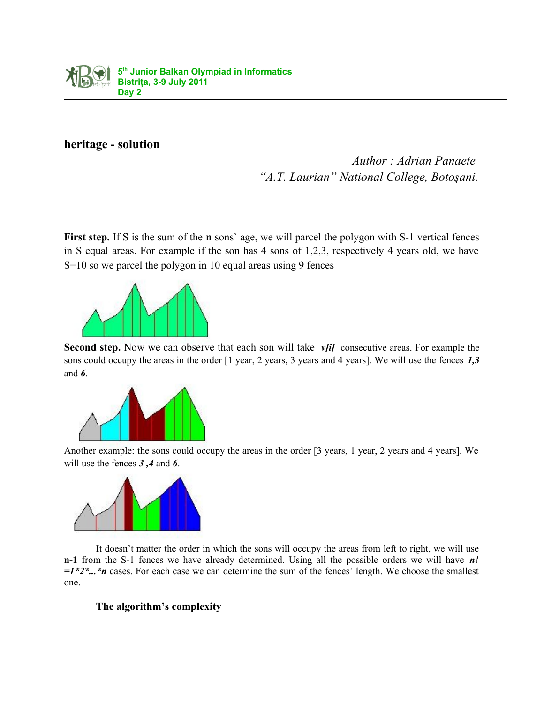

## **heritage - solution**

*Author : Adrian Panaete "A.T. Laurian" National College, Botoşani.*

**First step.** If S is the sum of the **n** sons' age, we will parcel the polygon with S-1 vertical fences in S equal areas. For example if the son has 4 sons of 1,2,3, respectively 4 years old, we have S=10 so we parcel the polygon in 10 equal areas using 9 fences



**Second step.** Now we can observe that each son will take *v*[i] consecutive areas. For example the sons could occupy the areas in the order [1 year, 2 years, 3 years and 4 years]. We will use the fences *1,3* and *6*.



Another example: the sons could occupy the areas in the order [3 years, 1 year, 2 years and 4 years]. We will use the fences *3 ,4* and *6*.



It doesn't matter the order in which the sons will occupy the areas from left to right, we will use **n-1** from the S-1 fences we have already determined. Using all the possible orders we will have *n! =1\*2\*...\*n* cases. For each case we can determine the sum of the fences' length. We choose the smallest one.

## **The algorithm's complexity**